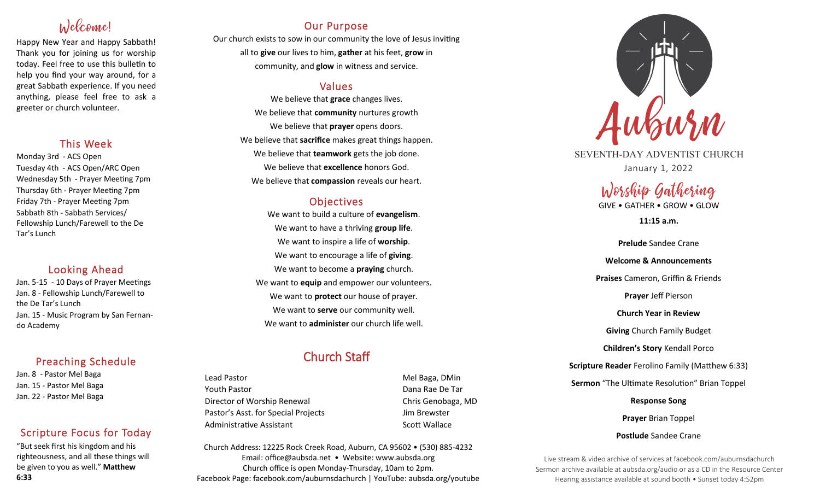# Welcome!

Happy New Year and Happy Sabbath! Thank you for joining us for worship today. Feel free to use this bulletin to help you find your way around, for a great Sabbath experience. If you need anything, please feel free to ask a greeter or church volunteer.

## This Week

Monday 3rd - ACS Open Tuesday 4th - ACS Open/ARC Open Wednesday 5th - Prayer Meeting 7pm Thursday 6th - Prayer Meeting 7pm Friday 7th - Prayer Meeting 7pm Sabbath 8th - Sabbath Services/ Fellowship Lunch/Farewell to the De Tar's Lunch

## Looking Ahead

Jan. 5-15 - 10 Days of Prayer Meetings Jan. 8 - Fellowship Lunch/Farewell to the De Tar's Lunch Jan. 15 - Music Program by San Fernando Academy

## Preaching Schedule

Jan. 8 - Pastor Mel Baga Jan. 15 - Pastor Mel Baga Jan. 22 - Pastor Mel Baga

## Scripture Focus for Today

"But seek first his kingdom and his righteousness, and all these things will be given to you as well." **Matthew 6:33**

## Our Purpose

Our church exists to sow in our community the love of Jesus inviting all to **give** our lives to him, **gather** at his feet, **grow** in community, and **glow** in witness and service.

## Values

We believe that **grace** changes lives. We believe that **community** nurtures growth We believe that **prayer** opens doors. We believe that **sacrifice** makes great things happen. We believe that **teamwork** gets the job done. We believe that **excellence** honors God. We believe that **compassion** reveals our heart.

## **Objectives**

We want to build a culture of **evangelism**. We want to have a thriving **group life**. We want to inspire a life of **worship**. We want to encourage a life of **giving**. We want to become a **praying** church. We want to **equip** and empower our volunteers. We want to **protect** our house of prayer. We want to **serve** our community well. We want to **administer** our church life well.

## Church Staff

Lead Pastor **Mel Baga**, DMin Youth Pastor Dana Rae De Tar Director of Worship Renewal Chris Genobaga, MD Pastor's Asst. for Special Projects Fig. 3.1 Jim Brewster Administrative Assistant National Controllery Scott Wallace

Church Address: 12225 Rock Creek Road, Auburn, CA 95602 • (530) 885-4232 Email: office@aubsda.net • Website: www.aubsda.org Church office is open Monday-Thursday, 10am to 2pm. Facebook Page: facebook.com/auburnsdachurch | YouTube: aubsda.org/youtube



SEVENTH-DAY ADVENTIST CHURCH January 1, 2022

# Worship Gathering

GIVE • GATHER • GROW • GLOW

**11:15 a.m.**

**Prelude** Sandee Crane **Welcome & Announcements Praises** Cameron, Griffin & Friends **Prayer** Jeff Pierson **Church Year in Review Giving** Church Family Budget **Children's Story** Kendall Porco **Scripture Reader** Ferolino Family (Matthew 6:33) **Sermon** "The Ultimate Resolution" Brian Toppel **Response Song**

**Prayer** Brian Toppel **Postlude** Sandee Crane

Live stream & video archive of services at facebook.com/auburnsdachurch Sermon archive available at aubsda.org/audio or as a CD in the Resource Center Hearing assistance available at sound booth • Sunset today 4:52pm